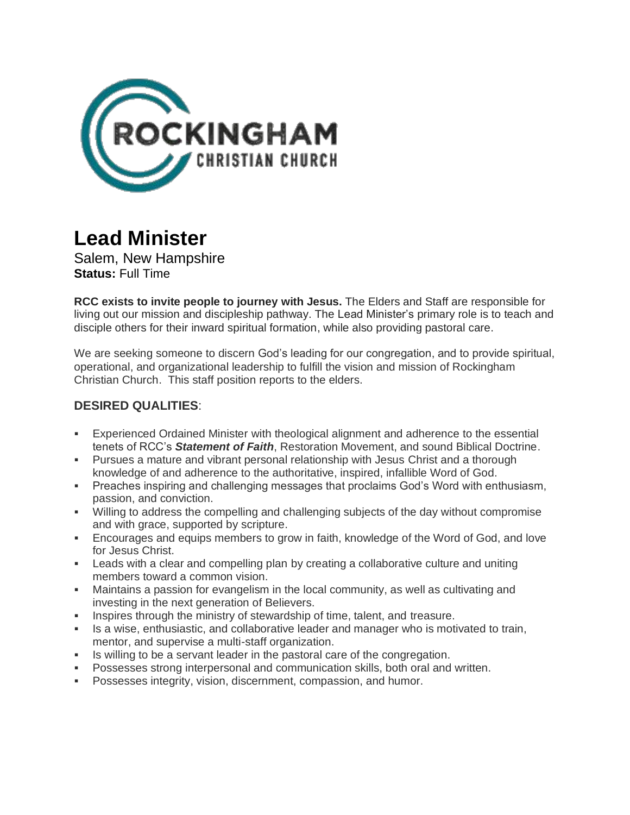

# **Lead Minister**

Salem, New Hampshire **Status:** Full Time

**RCC exists to invite people to journey with Jesus.** The Elders and Staff are responsible for living out our mission and discipleship pathway. The Lead Minister's primary role is to teach and disciple others for their inward spiritual formation, while also providing pastoral care.

We are seeking someone to discern God's leading for our congregation, and to provide spiritual, operational, and organizational leadership to fulfill the vision and mission of Rockingham Christian Church. This staff position reports to the elders.

# **DESIRED QUALITIES**:

- Experienced Ordained Minister with theological alignment and adherence to the essential tenets of RCC's *Statement of Faith*, Restoration Movement, and sound Biblical Doctrine.
- **Pursues a mature and vibrant personal relationship with Jesus Christ and a thorough** knowledge of and adherence to the authoritative, inspired, infallible Word of God.
- **Preaches inspiring and challenging messages that proclaims God's Word with enthusiasm,** passion, and conviction.
- Willing to address the compelling and challenging subjects of the day without compromise and with grace, supported by scripture.
- **Encourages and equips members to grow in faith, knowledge of the Word of God, and love** for Jesus Christ.
- **EXECT** Leads with a clear and compelling plan by creating a collaborative culture and uniting members toward a common vision.
- Maintains a passion for evangelism in the local community, as well as cultivating and investing in the next generation of Believers.
- **EXED** Inspires through the ministry of stewardship of time, talent, and treasure.
- Is a wise, enthusiastic, and collaborative leader and manager who is motivated to train, mentor, and supervise a multi-staff organization.
- Is willing to be a servant leader in the pastoral care of the congregation.
- Possesses strong interpersonal and communication skills, both oral and written.
- **Possesses integrity, vision, discernment, compassion, and humor.**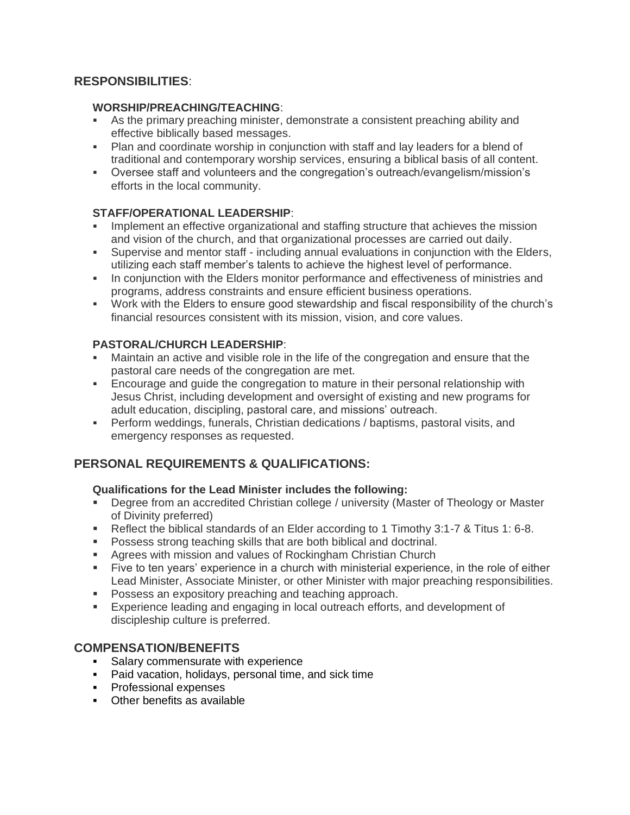# **RESPONSIBILITIES**:

#### **WORSHIP/PREACHING/TEACHING**:

- As the primary preaching minister, demonstrate a consistent preaching ability and effective biblically based messages.
- **Plan and coordinate worship in conjunction with staff and lay leaders for a blend of** traditional and contemporary worship services, ensuring a biblical basis of all content.
- Oversee staff and volunteers and the congregation's outreach/evangelism/mission's efforts in the local community.

## **STAFF/OPERATIONAL LEADERSHIP**:

- Implement an effective organizational and staffing structure that achieves the mission and vision of the church, and that organizational processes are carried out daily.
- Supervise and mentor staff including annual evaluations in conjunction with the Elders, utilizing each staff member's talents to achieve the highest level of performance.
- **In conjunction with the Elders monitor performance and effectiveness of ministries and** programs, address constraints and ensure efficient business operations.
- Work with the Elders to ensure good stewardship and fiscal responsibility of the church's financial resources consistent with its mission, vision, and core values.

## **PASTORAL/CHURCH LEADERSHIP**:

- Maintain an active and visible role in the life of the congregation and ensure that the pastoral care needs of the congregation are met.
- Encourage and guide the congregation to mature in their personal relationship with Jesus Christ, including development and oversight of existing and new programs for adult education, discipling, pastoral care, and missions' outreach.
- **•** Perform weddings, funerals, Christian dedications / baptisms, pastoral visits, and emergency responses as requested.

# **PERSONAL REQUIREMENTS & QUALIFICATIONS:**

#### **Qualifications for the Lead Minister includes the following:**

- Degree from an accredited Christian college / university (Master of Theology or Master of Divinity preferred)
- Reflect the biblical standards of an Elder according to 1 Timothy 3:1-7 & Titus 1: 6-8.
- Possess strong teaching skills that are both biblical and doctrinal.
- Agrees with mission and values of Rockingham Christian Church
- Five to ten years' experience in a church with ministerial experience, in the role of either Lead Minister, Associate Minister, or other Minister with major preaching responsibilities.
- **Possess an expository preaching and teaching approach.**
- **Experience leading and engaging in local outreach efforts, and development of** discipleship culture is preferred.

## **COMPENSATION/BENEFITS**

- **Salary commensurate with experience**
- Paid vacation, holidays, personal time, and sick time
- Professional expenses
- Other benefits as available